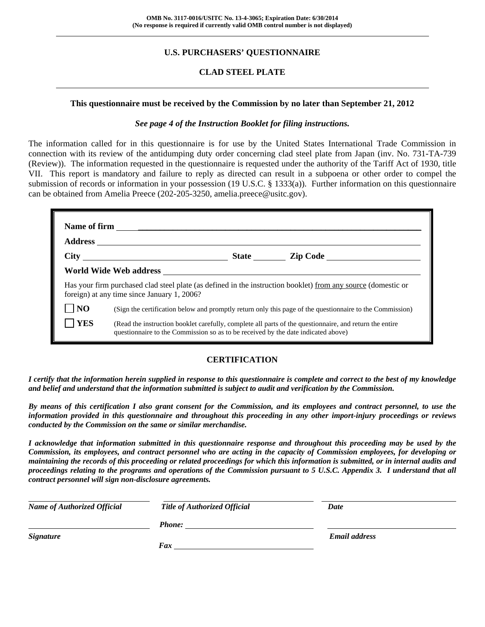## **U.S. PURCHASERS' QUESTIONNAIRE**

### **CLAD STEEL PLATE**

#### **This questionnaire must be received by the Commission by no later than September 21, 2012**

#### *See page 4 of the Instruction Booklet for filing instructions.*

The information called for in this questionnaire is for use by the United States International Trade Commission in connection with its review of the antidumping duty order concerning clad steel plate from Japan (inv. No. 731-TA-739 (Review)). The information requested in the questionnaire is requested under the authority of the Tariff Act of 1930, title VII. This report is mandatory and failure to reply as directed can result in a subpoena or other order to compel the submission of records or information in your possession (19 U.S.C. § 1333(a)). Further information on this questionnaire can be obtained from Amelia Preece (202-205-3250, amelia.preece@usitc.gov).

|                | foreign) at any time since January 1, 2006?                                                                                                                                                  |  | Has your firm purchased clad steel plate (as defined in the instruction booklet) from any source (domestic or |  |  |
|----------------|----------------------------------------------------------------------------------------------------------------------------------------------------------------------------------------------|--|---------------------------------------------------------------------------------------------------------------|--|--|
| N <sub>O</sub> | (Sign the certification below and promptly return only this page of the questionnaire to the Commission)                                                                                     |  |                                                                                                               |  |  |
| <b>YES</b>     | (Read the instruction booklet carefully, complete all parts of the questionnaire, and return the entire<br>questionnaire to the Commission so as to be received by the date indicated above) |  |                                                                                                               |  |  |

#### **CERTIFICATION**

*I certify that the information herein supplied in response to this questionnaire is complete and correct to the best of my knowledge and belief and understand that the information submitted is subject to audit and verification by the Commission.* 

*By means of this certification I also grant consent for the Commission, and its employees and contract personnel, to use the information provided in this questionnaire and throughout this proceeding in any other import-injury proceedings or reviews conducted by the Commission on the same or similar merchandise.* 

*I acknowledge that information submitted in this questionnaire response and throughout this proceeding may be used by the Commission, its employees, and contract personnel who are acting in the capacity of Commission employees, for developing or maintaining the records of this proceeding or related proceedings for which this information is submitted, or in internal audits and proceedings relating to the programs and operations of the Commission pursuant to 5 U.S.C. Appendix 3. I understand that all contract personnel will sign non-disclosure agreements.* 

| <b>Name of Authorized Official</b> | <b>Title of Authorized Official</b> | Date                 |  |
|------------------------------------|-------------------------------------|----------------------|--|
|                                    | Phone:                              |                      |  |
| <i>Signature</i>                   |                                     | <b>Email address</b> |  |
|                                    | Fax                                 |                      |  |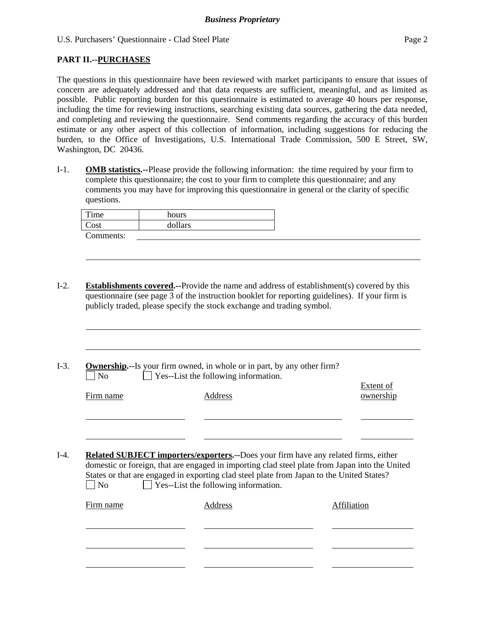### **PART II.--PURCHASES**

l

The questions in this questionnaire have been reviewed with market participants to ensure that issues of concern are adequately addressed and that data requests are sufficient, meaningful, and as limited as possible. Public reporting burden for this questionnaire is estimated to average 40 hours per response, including the time for reviewing instructions, searching existing data sources, gathering the data needed, and completing and reviewing the questionnaire. Send comments regarding the accuracy of this burden estimate or any other aspect of this collection of information, including suggestions for reducing the burden, to the Office of Investigations, U.S. International Trade Commission, 500 E Street, SW, Washington, DC 20436.

I-1. **OMB statistics.--**Please provide the following information: the time required by your firm to complete this questionnaire; the cost to your firm to complete this questionnaire; and any comments you may have for improving this questionnaire in general or the clarity of specific questions.

| $T$ ime   | hours   |
|-----------|---------|
| Cost      | dollars |
| Comments: |         |

I-2. **Establishments covered.--**Provide the name and address of establishment(s) covered by this questionnaire (see page 3 of the instruction booklet for reporting guidelines). If your firm is publicly traded, please specify the stock exchange and trading symbol.

I-3. **Ownership.--**Is your firm owned, in whole or in part, by any other firm?  $\neg$  No  $\neg$  Yes--List the following information.

| Firm name | ັ<br>Address | <b>Extent of</b><br>ownership |
|-----------|--------------|-------------------------------|
|           |              |                               |

I-4. **Related SUBJECT importers/exporters.--**Does your firm have any related firms, either domestic or foreign, that are engaged in importing clad steel plate from Japan into the United States or that are engaged in exporting clad steel plate from Japan to the United States?  $\Box$  No  $\Box$  Yes--List the following information.

| Firm name | Address | Affiliation |
|-----------|---------|-------------|
|           |         |             |
|           |         |             |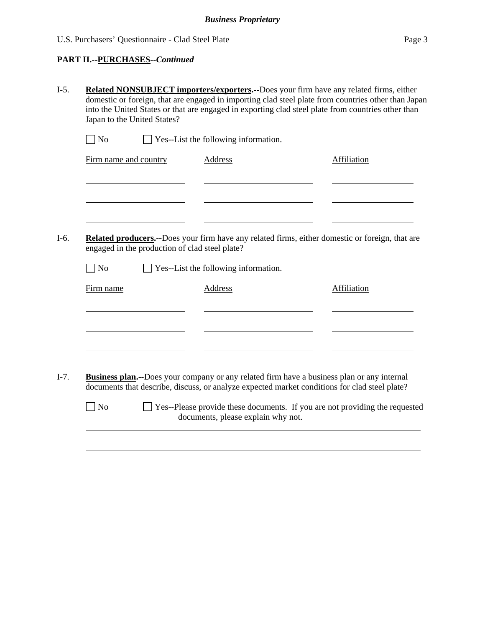## **PART II.--PURCHASES***--Continued*

| $\Box$ No<br>$\Box$ Yes--List the following information.<br>Firm name and country | <b>Address</b>                                                                                     | Affiliation                                                                                     |
|-----------------------------------------------------------------------------------|----------------------------------------------------------------------------------------------------|-------------------------------------------------------------------------------------------------|
|                                                                                   |                                                                                                    |                                                                                                 |
|                                                                                   |                                                                                                    |                                                                                                 |
|                                                                                   |                                                                                                    |                                                                                                 |
|                                                                                   |                                                                                                    | Related producers.--Does your firm have any related firms, either domestic or foreign, that are |
|                                                                                   | engaged in the production of clad steel plate?                                                     |                                                                                                 |
| $\vert$ No                                                                        | $\Box$ Yes--List the following information.                                                        |                                                                                                 |
| Firm name                                                                         | <b>Address</b>                                                                                     | <b>Affiliation</b>                                                                              |
|                                                                                   |                                                                                                    |                                                                                                 |
|                                                                                   |                                                                                                    |                                                                                                 |
|                                                                                   |                                                                                                    |                                                                                                 |
|                                                                                   | <b>Business plan.</b> --Does your company or any related firm have a business plan or any internal |                                                                                                 |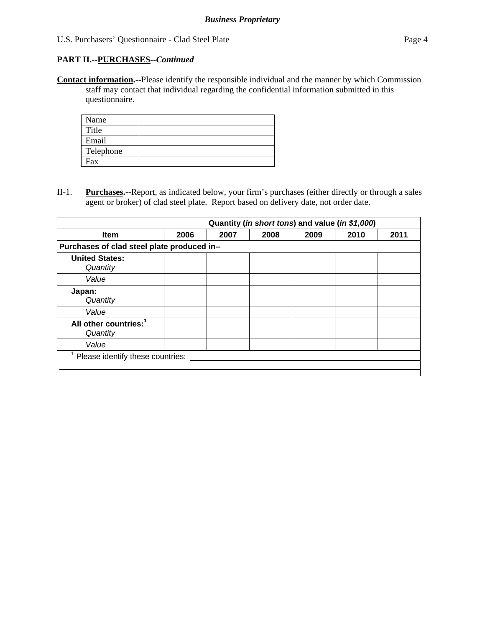**Contact information.**--Please identify the responsible individual and the manner by which Commission staff may contact that individual regarding the confidential information submitted in this questionnaire.

| Name      |  |
|-----------|--|
| Title     |  |
| Email     |  |
| Telephone |  |
| Fax       |  |

II-1. **Purchases.--**Report, as indicated below, your firm's purchases (either directly or through a sales agent or broker) of clad steel plate. Report based on delivery date, not order date.

|                                               |      |      | Quantity (in short tons) and value (in \$1,000) |      |      |      |
|-----------------------------------------------|------|------|-------------------------------------------------|------|------|------|
| <b>Item</b>                                   | 2006 | 2007 | 2008                                            | 2009 | 2010 | 2011 |
| Purchases of clad steel plate produced in--   |      |      |                                                 |      |      |      |
| <b>United States:</b><br>Quantity             |      |      |                                                 |      |      |      |
| Value                                         |      |      |                                                 |      |      |      |
| Japan:<br>Quantity                            |      |      |                                                 |      |      |      |
| Value                                         |      |      |                                                 |      |      |      |
| All other countries: <sup>1</sup><br>Quantity |      |      |                                                 |      |      |      |
| Value                                         |      |      |                                                 |      |      |      |
| Please identify these countries:              |      |      |                                                 |      |      |      |
|                                               |      |      |                                                 |      |      |      |
|                                               |      |      |                                                 |      |      |      |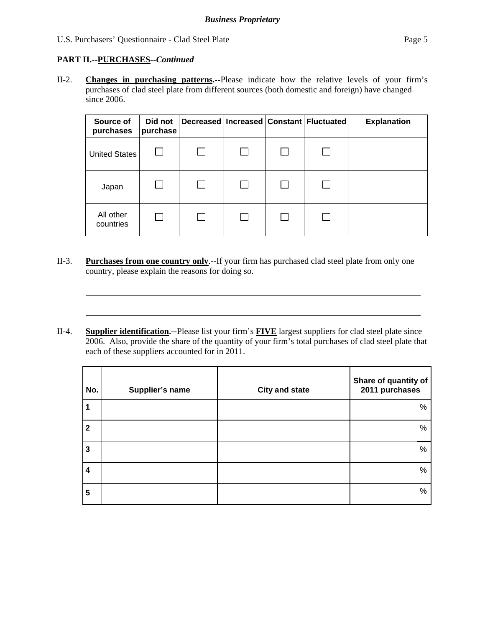## **PART II.--PURCHASES***--Continued*

l

l

II-2. **Changes in purchasing patterns.--**Please indicate how the relative levels of your firm's purchases of clad steel plate from different sources (both domestic and foreign) have changed since 2006.

| Source of<br>purchases | Did not<br>purchase |  | Decreased   Increased   Constant   Fluctuated | <b>Explanation</b> |
|------------------------|---------------------|--|-----------------------------------------------|--------------------|
| United States          |                     |  |                                               |                    |
| Japan                  |                     |  |                                               |                    |
| All other<br>countries |                     |  |                                               |                    |

- II-3. **Purchases from one country only**.--If your firm has purchased clad steel plate from only one country, please explain the reasons for doing so.
- II-4. **Supplier identification.--**Please list your firm's **FIVE** largest suppliers for clad steel plate since 2006. Also, provide the share of the quantity of your firm's total purchases of clad steel plate that each of these suppliers accounted for in 2011.

| No.                     | Supplier's name | <b>City and state</b> | Share of quantity of<br>2011 purchases |
|-------------------------|-----------------|-----------------------|----------------------------------------|
| 1                       |                 |                       | %                                      |
| $\mathbf{2}$            |                 |                       | %                                      |
| 3                       |                 |                       | %                                      |
| 4                       |                 |                       | %                                      |
| $\overline{\mathbf{5}}$ |                 |                       | $\%$                                   |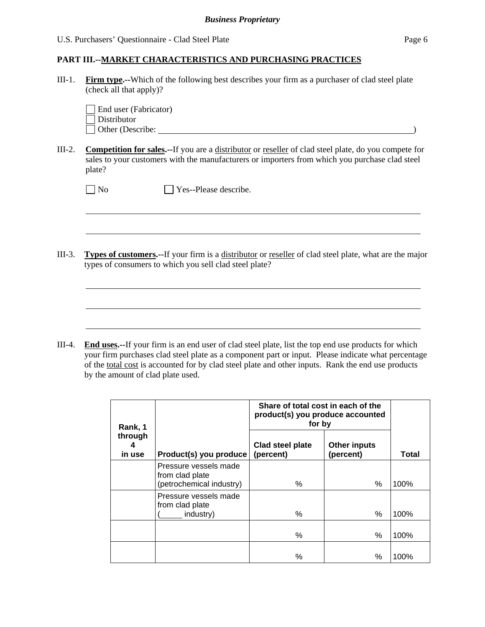III-1. **Firm type.--**Which of the following best describes your firm as a purchaser of clad steel plate (check all that apply)?

| $\vert$ End user (Fabricator) |  |
|-------------------------------|--|
| $\Box$ Distributor            |  |
| $\Box$ Other (Describe:       |  |

 $\overline{a}$ 

 $\overline{a}$ 

III-2. **Competition for sales.--**If you are a distributor or reseller of clad steel plate, do you compete for sales to your customers with the manufacturers or importers from which you purchase clad steel plate?

| $\Box$ No | $\Box$ Yes--Please describe. |
|-----------|------------------------------|

III-3. **Types of customers.--**If your firm is a distributor or reseller of clad steel plate, what are the major types of consumers to which you sell clad steel plate?

III-4. **End uses.--**If your firm is an end user of clad steel plate, list the top end use products for which your firm purchases clad steel plate as a component part or input. Please indicate what percentage of the total cost is accounted for by clad steel plate and other inputs. Rank the end use products by the amount of clad plate used.

| Rank, 1                |                                                                      | Share of total cost in each of the<br>product(s) you produce accounted<br>for by |                                  |       |
|------------------------|----------------------------------------------------------------------|----------------------------------------------------------------------------------|----------------------------------|-------|
| through<br>4<br>in use | Product(s) you produce                                               | Clad steel plate<br>(percent)                                                    | <b>Other inputs</b><br>(percent) | Total |
|                        | Pressure vessels made<br>from clad plate<br>(petrochemical industry) | %                                                                                | $\%$                             | 100%  |
|                        | Pressure vessels made<br>from clad plate<br>industry)                | $\%$                                                                             | $\%$                             | 100%  |
|                        |                                                                      | %                                                                                | $\%$                             | 100%  |
|                        |                                                                      | ℅                                                                                | $\%$                             | 100%  |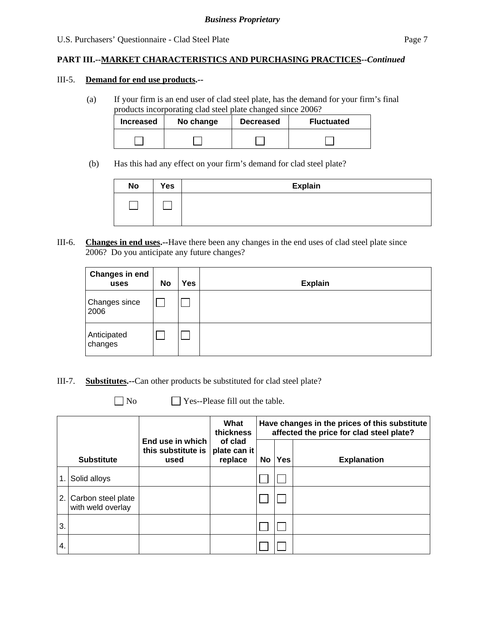#### **PART III.--MARKET CHARACTERISTICS AND PURCHASING PRACTICES***--Continued*

#### III-5. **Demand for end use products.--**

(a) If your firm is an end user of clad steel plate, has the demand for your firm's final products incorporating clad steel plate changed since 2006?

| <b>Increased</b> | No change | <b>Decreased</b> | <b>Fluctuated</b> |
|------------------|-----------|------------------|-------------------|
|                  |           |                  |                   |

(b) Has this had any effect on your firm's demand for clad steel plate?

| <b>No</b> | Yes | <b>Explain</b> |
|-----------|-----|----------------|
|           |     |                |

III-6. **Changes in end uses.--**Have there been any changes in the end uses of clad steel plate since 2006? Do you anticipate any future changes?

| <b>Changes in end</b><br>uses | <b>No</b> | Yes | <b>Explain</b> |
|-------------------------------|-----------|-----|----------------|
| Changes since<br>2006         |           |     |                |
| Anticipated<br>changes        |           |     |                |

- III-7. **Substitutes.--**Can other products be substituted for clad steel plate?
	-

 $\Box$  No  $\Box$  Yes--Please fill out the table.

|     |                                         | What<br>thickness<br>End use in which<br>of clad<br>this substitute is<br>plate can it |         | Have changes in the prices of this substitute<br>affected the price for clad steel plate? |            |                    |  |
|-----|-----------------------------------------|----------------------------------------------------------------------------------------|---------|-------------------------------------------------------------------------------------------|------------|--------------------|--|
|     | <b>Substitute</b>                       | used                                                                                   | replace | No                                                                                        | <b>Yes</b> | <b>Explanation</b> |  |
| 1.  | Solid alloys                            |                                                                                        |         |                                                                                           |            |                    |  |
| 2.1 | Carbon steel plate<br>with weld overlay |                                                                                        |         |                                                                                           |            |                    |  |
| 3.  |                                         |                                                                                        |         |                                                                                           |            |                    |  |
| 4.  |                                         |                                                                                        |         |                                                                                           |            |                    |  |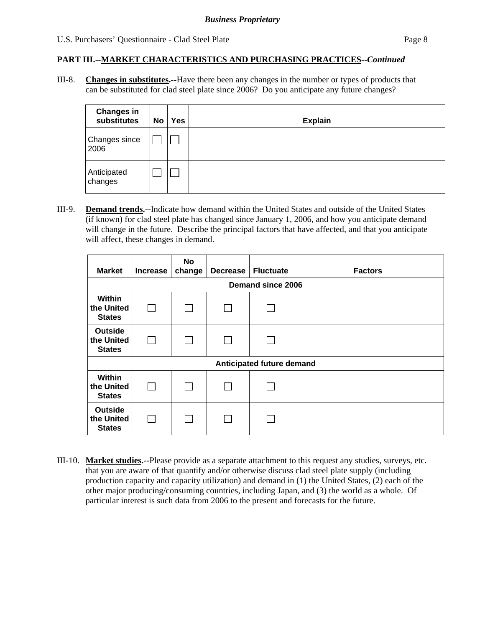III-8. **Changes in substitutes.--**Have there been any changes in the number or types of products that can be substituted for clad steel plate since 2006? Do you anticipate any future changes?

| <b>Changes in</b><br>substitutes | No | <b>Yes</b> | <b>Explain</b> |
|----------------------------------|----|------------|----------------|
| Changes since<br>2006            |    |            |                |
| Anticipated<br>changes           |    |            |                |

III-9. **Demand trends.--**Indicate how demand within the United States and outside of the United States (if known) for clad steel plate has changed since January 1, 2006, and how you anticipate demand will change in the future. Describe the principal factors that have affected, and that you anticipate will affect, these changes in demand.

| <b>Market</b>                                 | <b>Increase</b>          | No<br>change | <b>Decrease</b> | <b>Fluctuate</b>          | <b>Factors</b> |  |  |  |  |  |
|-----------------------------------------------|--------------------------|--------------|-----------------|---------------------------|----------------|--|--|--|--|--|
|                                               | <b>Demand since 2006</b> |              |                 |                           |                |  |  |  |  |  |
| Within<br>the United<br><b>States</b>         | $\mathbf{L}$             |              |                 |                           |                |  |  |  |  |  |
| <b>Outside</b><br>the United<br><b>States</b> | $\sim$                   |              |                 |                           |                |  |  |  |  |  |
|                                               |                          |              |                 | Anticipated future demand |                |  |  |  |  |  |
| <b>Within</b><br>the United<br><b>States</b>  |                          |              |                 |                           |                |  |  |  |  |  |
| <b>Outside</b><br>the United<br><b>States</b> |                          |              |                 |                           |                |  |  |  |  |  |

III-10. **Market studies.--**Please provide as a separate attachment to this request any studies, surveys, etc. that you are aware of that quantify and/or otherwise discuss clad steel plate supply (including production capacity and capacity utilization) and demand in (1) the United States, (2) each of the other major producing/consuming countries, including Japan, and (3) the world as a whole. Of particular interest is such data from 2006 to the present and forecasts for the future.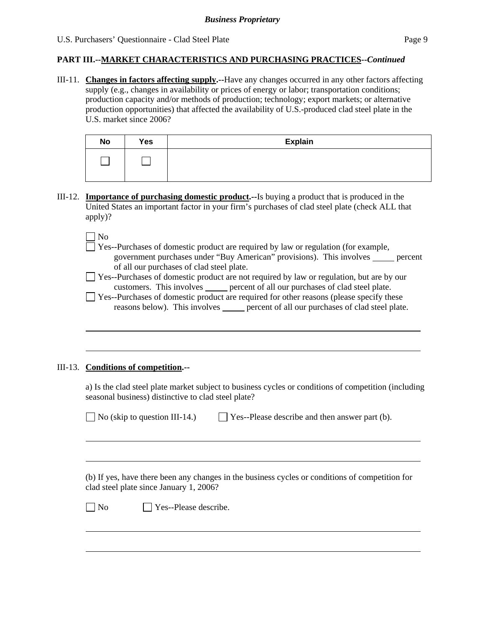III-11. **Changes in factors affecting supply.--**Have any changes occurred in any other factors affecting supply (e.g., changes in availability or prices of energy or labor; transportation conditions; production capacity and/or methods of production; technology; export markets; or alternative production opportunities) that affected the availability of U.S.-produced clad steel plate in the U.S. market since 2006?

| <b>No</b> | Yes | <b>Explain</b> |
|-----------|-----|----------------|
|           |     |                |

III-12. **Importance of purchasing domestic product.--**Is buying a product that is produced in the United States an important factor in your firm's purchases of clad steel plate (check ALL that apply)?

 $\Box$  No

l

l

 $\overline{a}$ 

 Yes--Purchases of domestic product are required by law or regulation (for example, government purchases under "Buy American" provisions). This involves percent of all our purchases of clad steel plate.

 Yes--Purchases of domestic product are not required by law or regulation, but are by our customers. This involves <u>percent of all our purchases of clad steel plate</u>.

 $\Box$  Yes--Purchases of domestic product are required for other reasons (please specify these reasons below). This involves <u>seeme</u> percent of all our purchases of clad steel plate.

#### III-13. **Conditions of competition.--**

a) Is the clad steel plate market subject to business cycles or conditions of competition (including seasonal business) distinctive to clad steel plate?

 $\Box$  No (skip to question III-14.)  $\Box$  Yes--Please describe and then answer part (b).

 (b) If yes, have there been any changes in the business cycles or conditions of competition for clad steel plate since January 1, 2006?

 $\neg$  No  $\neg$  Yes--Please describe.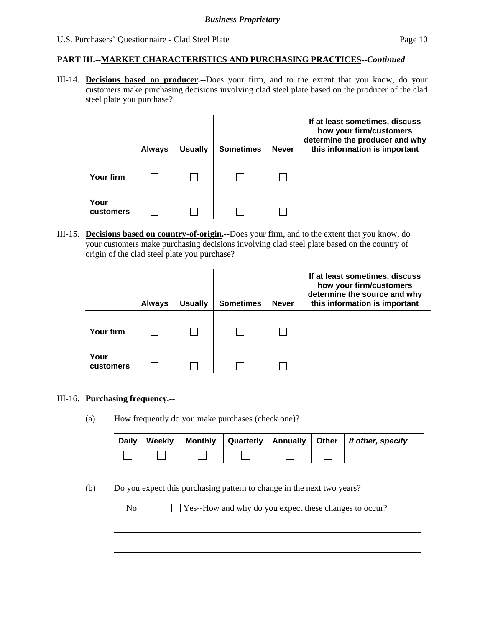III-14. **Decisions based on producer.--**Does your firm, and to the extent that you know, do your customers make purchasing decisions involving clad steel plate based on the producer of the clad steel plate you purchase?

|                   | <b>Always</b> | <b>Usually</b> | <b>Sometimes</b> | <b>Never</b> | If at least sometimes, discuss<br>how your firm/customers<br>determine the producer and why<br>this information is important |
|-------------------|---------------|----------------|------------------|--------------|------------------------------------------------------------------------------------------------------------------------------|
| Your firm         |               |                |                  |              |                                                                                                                              |
| Your<br>customers |               |                |                  |              |                                                                                                                              |

III-15. **Decisions based on country-of-origin.--**Does your firm, and to the extent that you know, do your customers make purchasing decisions involving clad steel plate based on the country of origin of the clad steel plate you purchase?

|                   | <b>Always</b> | <b>Usually</b> | <b>Sometimes</b> | <b>Never</b> | If at least sometimes, discuss<br>how your firm/customers<br>determine the source and why<br>this information is important |
|-------------------|---------------|----------------|------------------|--------------|----------------------------------------------------------------------------------------------------------------------------|
|                   |               |                |                  |              |                                                                                                                            |
| Your firm         |               |                |                  |              |                                                                                                                            |
| Your<br>customers |               |                |                  |              |                                                                                                                            |

#### III-16. **Purchasing frequency.--**

(a) How frequently do you make purchases (check one)?

| Daily | Weekly |  |  | Monthly   Quarterly   Annually   Other   If other, specify |
|-------|--------|--|--|------------------------------------------------------------|
|       |        |  |  |                                                            |

(b) Do you expect this purchasing pattern to change in the next two years?

 $\overline{a}$ 

No Yes--How and why do you expect these changes to occur?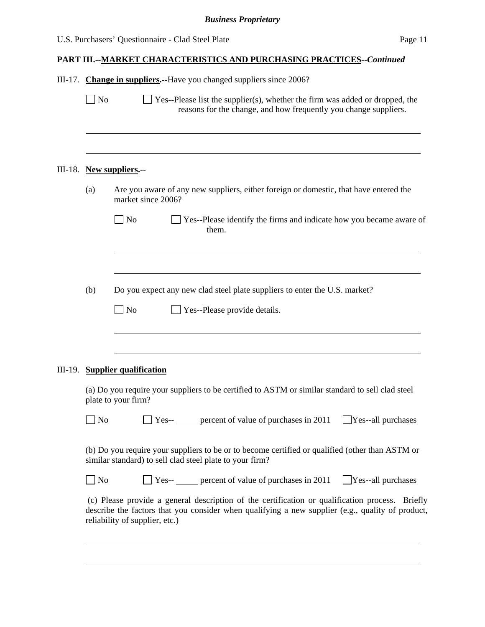|  | III-17. Change in suppliers.--Have you changed suppliers since 2006? |  |
|--|----------------------------------------------------------------------|--|
|--|----------------------------------------------------------------------|--|

 $\Box$  No  $\Box$  Yes--Please list the supplier(s), whether the firm was added or dropped, the reasons for the change, and how frequently you change suppliers.

#### III-18. **New suppliers.--**

 $\overline{a}$ 

| (a) | Are you aware of any new suppliers, either foreign or domestic, that have entered the |
|-----|---------------------------------------------------------------------------------------|
|     | market since 2006?                                                                    |

| $\Box$ No | $\Box$ Yes--Please identify the firms and indicate how you became aware of |
|-----------|----------------------------------------------------------------------------|
|           | them.                                                                      |

(b) Do you expect any new clad steel plate suppliers to enter the U.S. market?

| $\Box$ No | $\Box$ Yes--Please provide details. |  |
|-----------|-------------------------------------|--|

#### III-19. **Supplier qualification**

l

 $\overline{a}$ 

l

(a) Do you require your suppliers to be certified to ASTM or similar standard to sell clad steel plate to your firm?

| $\Box$ No<br>$\bigcap$ Yes-- | percent of value of purchases in 2011 | $\Box$ Yes--all purchases |
|------------------------------|---------------------------------------|---------------------------|
|------------------------------|---------------------------------------|---------------------------|

(b) Do you require your suppliers to be or to become certified or qualified (other than ASTM or similar standard) to sell clad steel plate to your firm?

 $\Box$  No  $\Box$  Yes-- percent of value of purchases in 2011  $\Box$  Yes--all purchases

 (c) Please provide a general description of the certification or qualification process. Briefly describe the factors that you consider when qualifying a new supplier (e.g., quality of product, reliability of supplier, etc.)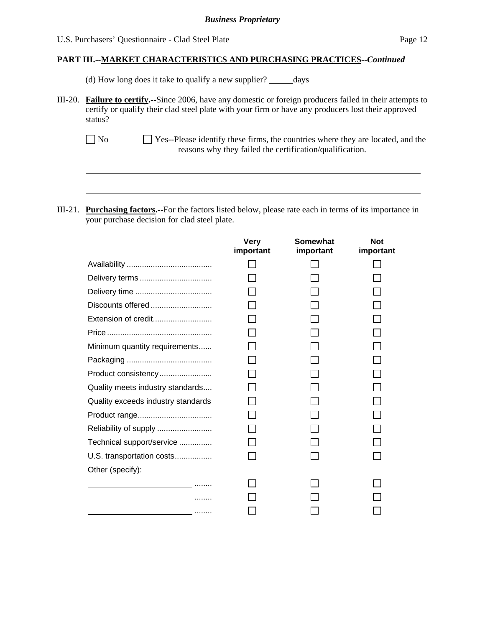l

#### **PART III.--MARKET CHARACTERISTICS AND PURCHASING PRACTICES***--Continued*

(d) How long does it take to qualify a new supplier? \_\_\_\_\_\_ days

- III-20. **Failure to certify.--**Since 2006, have any domestic or foreign producers failed in their attempts to certify or qualify their clad steel plate with your firm or have any producers lost their approved status?
	- No Yes--Please identify these firms, the countries where they are located, and the reasons why they failed the certification/qualification.
- III-21. **Purchasing factors.--**For the factors listed below, please rate each in terms of its importance in your purchase decision for clad steel plate.

|                                                                                                                 | <b>Very</b><br>important | Somewhat<br>important | <b>Not</b><br>important |
|-----------------------------------------------------------------------------------------------------------------|--------------------------|-----------------------|-------------------------|
|                                                                                                                 |                          |                       |                         |
|                                                                                                                 |                          |                       |                         |
|                                                                                                                 |                          |                       |                         |
|                                                                                                                 |                          |                       |                         |
| Extension of credit                                                                                             |                          |                       |                         |
|                                                                                                                 |                          |                       |                         |
| Minimum quantity requirements                                                                                   |                          |                       |                         |
|                                                                                                                 |                          |                       |                         |
| Product consistency                                                                                             |                          |                       |                         |
| Quality meets industry standards                                                                                |                          |                       |                         |
| Quality exceeds industry standards                                                                              |                          |                       |                         |
|                                                                                                                 |                          |                       |                         |
| Reliability of supply                                                                                           |                          |                       |                         |
| Technical support/service                                                                                       |                          |                       |                         |
| U.S. transportation costs                                                                                       |                          |                       |                         |
| Other (specify):                                                                                                |                          |                       |                         |
| the contract of the contract of the contract of the contract of the contract of the contract of the contract of |                          |                       |                         |
|                                                                                                                 |                          |                       |                         |
| .                                                                                                               |                          |                       |                         |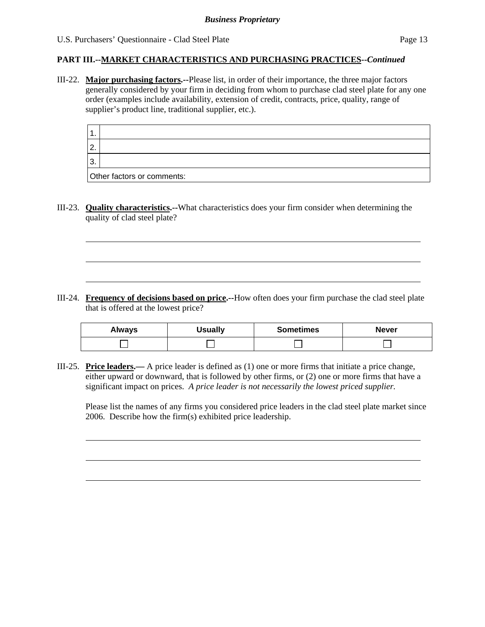l

l

#### **PART III.--MARKET CHARACTERISTICS AND PURCHASING PRACTICES***--Continued*

III-22. **Major purchasing factors.--**Please list, in order of their importance, the three major factors generally considered by your firm in deciding from whom to purchase clad steel plate for any one order (examples include availability, extension of credit, contracts, price, quality, range of supplier's product line, traditional supplier, etc.).

| l 1.          |                            |
|---------------|----------------------------|
| <sup>2.</sup> |                            |
| 3.            |                            |
|               | Other factors or comments: |

III-23. **Quality characteristics.--**What characteristics does your firm consider when determining the quality of clad steel plate?

III-24. **Frequency of decisions based on price.--**How often does your firm purchase the clad steel plate that is offered at the lowest price?

| <b>Always</b> | <b>Usually</b> | <b>Sometimes</b> | <b>Never</b> |  |  |
|---------------|----------------|------------------|--------------|--|--|
|               |                |                  |              |  |  |

III-25. **Price leaders.—** A price leader is defined as (1) one or more firms that initiate a price change, either upward or downward, that is followed by other firms, or (2) one or more firms that have a significant impact on prices. *A price leader is not necessarily the lowest priced supplier.* 

Please list the names of any firms you considered price leaders in the clad steel plate market since 2006. Describe how the firm(s) exhibited price leadership.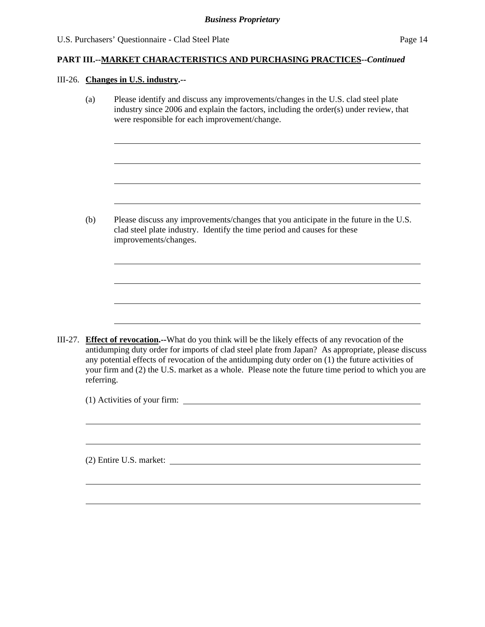#### III-26. **Changes in U.S. industry.--**

l

l

(a) Please identify and discuss any improvements/changes in the U.S. clad steel plate industry since 2006 and explain the factors, including the order(s) under review, that were responsible for each improvement/change.

(b) Please discuss any improvements/changes that you anticipate in the future in the U.S. clad steel plate industry. Identify the time period and causes for these improvements/changes.

III-27. **Effect of revocation.--**What do you think will be the likely effects of any revocation of the antidumping duty order for imports of clad steel plate from Japan? As appropriate, please discuss any potential effects of revocation of the antidumping duty order on (1) the future activities of your firm and (2) the U.S. market as a whole. Please note the future time period to which you are referring.

(1) Activities of your firm:

(2) Entire U.S. market: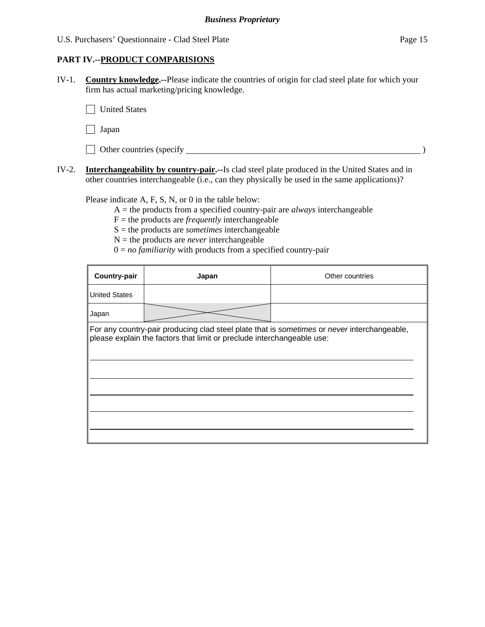#### **PART IV.--PRODUCT COMPARISIONS**

IV-1. **Country knowledge.--**Please indicate the countries of origin for clad steel plate for which your firm has actual marketing/pricing knowledge.

**T** United States

 $\Box$  Japan

| Other countries (specify |  |
|--------------------------|--|
|--------------------------|--|

IV-2. **Interchangeability by country-pair.--**Is clad steel plate produced in the United States and in other countries interchangeable (i.e., can they physically be used in the same applications)?

Please indicate A, F, S, N, or 0 in the table below:

A = the products from a specified country-pair are *always* interchangeable

 $F =$  the products are *frequently* interchangeable

S = the products are *sometimes* interchangeable

- $N =$  the products are *never* interchangeable
- $0 = no$  *familiarity* with products from a specified country-pair

| Country-pair         | Japan                                                                  | Other countries                                                                             |
|----------------------|------------------------------------------------------------------------|---------------------------------------------------------------------------------------------|
| <b>United States</b> |                                                                        |                                                                                             |
| Japan                |                                                                        |                                                                                             |
|                      | please explain the factors that limit or preclude interchangeable use: | For any country-pair producing clad steel plate that is sometimes or never interchangeable, |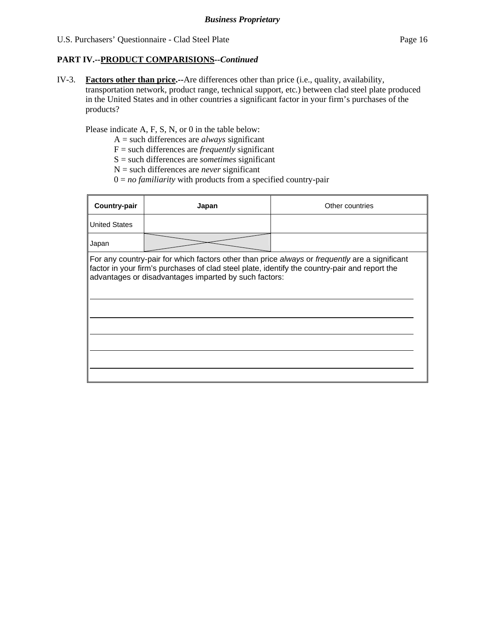#### **PART IV.--PRODUCT COMPARISIONS***--Continued*

IV-3. **Factors other than price.--**Are differences other than price (i.e., quality, availability, transportation network, product range, technical support, etc*.*) between clad steel plate produced in the United States and in other countries a significant factor in your firm's purchases of the products?

Please indicate A, F, S, N, or 0 in the table below:

- A = such differences are *always* significant
- F = such differences are *frequently* significant
- S = such differences are *sometimes* significant
- N = such differences are *never* significant
- $0 = no$  *familiarity* with products from a specified country-pair

| <b>Country-pair</b>  | Japan                                                 | Other countries                                                                                                                                                                                 |
|----------------------|-------------------------------------------------------|-------------------------------------------------------------------------------------------------------------------------------------------------------------------------------------------------|
| <b>United States</b> |                                                       |                                                                                                                                                                                                 |
| Japan                |                                                       |                                                                                                                                                                                                 |
|                      | advantages or disadvantages imparted by such factors: | For any country-pair for which factors other than price always or frequently are a significant<br>factor in your firm's purchases of clad steel plate, identify the country-pair and report the |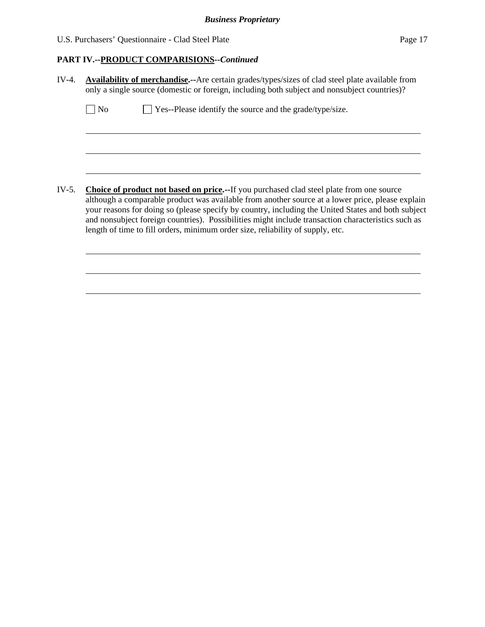## *Business Proprietary*

U.S. Purchasers' Questionnaire - Clad Steel Plate Page 17

## **PART IV.--PRODUCT COMPARISIONS***--Continued*

| $IV-4.$ | <b>Availability of merchandise.</b> --Are certain grades/types/sizes of clad steel plate available from<br>only a single source (domestic or foreign, including both subject and nonsubject countries)? |                                                                                                                                                                                                                                                                                                                                                                                                                                                                                                   |  |  |  |
|---------|---------------------------------------------------------------------------------------------------------------------------------------------------------------------------------------------------------|---------------------------------------------------------------------------------------------------------------------------------------------------------------------------------------------------------------------------------------------------------------------------------------------------------------------------------------------------------------------------------------------------------------------------------------------------------------------------------------------------|--|--|--|
|         | N <sub>0</sub>                                                                                                                                                                                          | $\Box$ Yes--Please identify the source and the grade/type/size.                                                                                                                                                                                                                                                                                                                                                                                                                                   |  |  |  |
|         |                                                                                                                                                                                                         |                                                                                                                                                                                                                                                                                                                                                                                                                                                                                                   |  |  |  |
|         |                                                                                                                                                                                                         |                                                                                                                                                                                                                                                                                                                                                                                                                                                                                                   |  |  |  |
| $IV-5.$ |                                                                                                                                                                                                         | <b>Choice of product not based on price.--If you purchased clad steel plate from one source</b><br>although a comparable product was available from another source at a lower price, please explain<br>your reasons for doing so (please specify by country, including the United States and both subject<br>and nonsubject foreign countries). Possibilities might include transaction characteristics such as<br>length of time to fill orders, minimum order size, reliability of supply, etc. |  |  |  |
|         |                                                                                                                                                                                                         |                                                                                                                                                                                                                                                                                                                                                                                                                                                                                                   |  |  |  |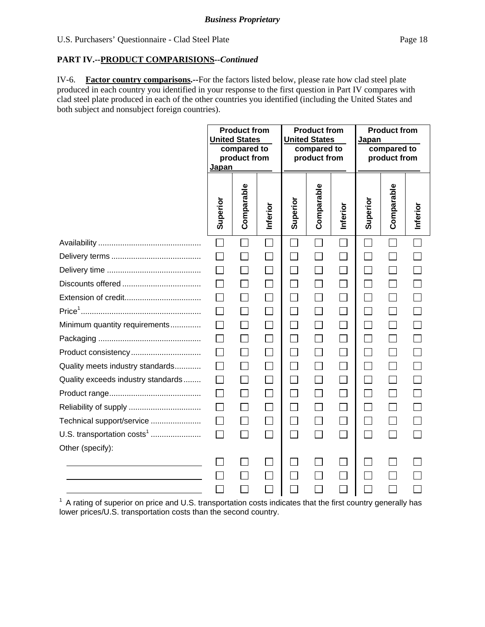#### **PART IV.--PRODUCT COMPARISIONS***--Continued*

IV-6. **Factor country comparisons.--**For the factors listed below, please rate how clad steel plate produced in each country you identified in your response to the first question in Part IV compares with clad steel plate produced in each of the other countries you identified (including the United States and both subject and nonsubject foreign countries).

|                                        | <b>Product from</b><br><b>United States</b><br>compared to<br>product from<br><b>Japan</b> |            | <b>Product from</b><br><b>United States</b><br>compared to<br>product from |                             |            | <b>Product from</b><br>Japan<br>compared to<br>product from |                             |                   |          |
|----------------------------------------|--------------------------------------------------------------------------------------------|------------|----------------------------------------------------------------------------|-----------------------------|------------|-------------------------------------------------------------|-----------------------------|-------------------|----------|
|                                        | Superior                                                                                   | Comparable | Inferior                                                                   | Superior                    | Comparable | Inferior                                                    | Superior                    | Comparable        | Inferior |
|                                        |                                                                                            |            |                                                                            |                             |            |                                                             |                             |                   |          |
|                                        |                                                                                            |            |                                                                            |                             |            | $\Box$                                                      |                             |                   |          |
|                                        |                                                                                            | $\Box$     |                                                                            | $\Box$                      |            | $\mathcal{L}_{\mathcal{A}}$                                 |                             |                   |          |
|                                        |                                                                                            | $\Box$     |                                                                            | $\Box$                      |            | $\Box$                                                      |                             | $\Box$            |          |
|                                        |                                                                                            | $\Box$     |                                                                            | $\Box$                      |            | $\Box$                                                      |                             | $\Box$            |          |
|                                        |                                                                                            | $\Box$     | $\vert \ \ \vert$                                                          | $\Box$                      |            | $\Box$                                                      |                             | $\Box$            |          |
| Minimum quantity requirements          | $\mathsf{L}$                                                                               | $\Box$     | $\Box$                                                                     | $\Box$                      |            | $\Box$                                                      |                             | $\Box$            |          |
|                                        |                                                                                            | $\Box$     |                                                                            | $\Box$                      |            | $\mathbb{R}^n$                                              |                             | $\vert \ \ \vert$ |          |
| Product consistency                    |                                                                                            | $\Box$     |                                                                            | $\mathcal{L}_{\mathcal{A}}$ |            | $\overline{\phantom{0}}$                                    |                             | T.                |          |
| Quality meets industry standards       | $\mathsf{L}$                                                                               | $\Box$     | $\mathbf{I}$                                                               | П                           |            | $\Box$                                                      | $\mathcal{L}_{\mathcal{A}}$ | П                 |          |
| Quality exceeds industry standards     |                                                                                            | П          |                                                                            | $\Box$                      |            | $\Box$                                                      |                             | $\Box$            |          |
|                                        |                                                                                            | $\Box$     |                                                                            | П                           |            | $\Box$                                                      |                             | $\Box$            |          |
|                                        |                                                                                            | $\Box$     |                                                                            | П                           |            | $\Box$                                                      |                             | $\Box$            |          |
| Technical support/service              |                                                                                            | $\Box$     |                                                                            |                             |            | $\Box$                                                      |                             | $\Box$            |          |
| U.S. transportation costs <sup>1</sup> | $\Box$                                                                                     | П          | $\Box$                                                                     | П                           | $\Box$     | $\Box$                                                      | $\Box$                      | П                 |          |
| Other (specify):                       |                                                                                            |            |                                                                            |                             |            |                                                             |                             |                   |          |
|                                        |                                                                                            |            |                                                                            |                             |            |                                                             |                             |                   |          |
|                                        |                                                                                            |            |                                                                            |                             |            |                                                             |                             |                   |          |
|                                        |                                                                                            |            |                                                                            |                             |            |                                                             |                             |                   |          |

<sup>1</sup> A rating of superior on price and U.S. transportation costs indicates that the first country generally has lower prices/U.S. transportation costs than the second country.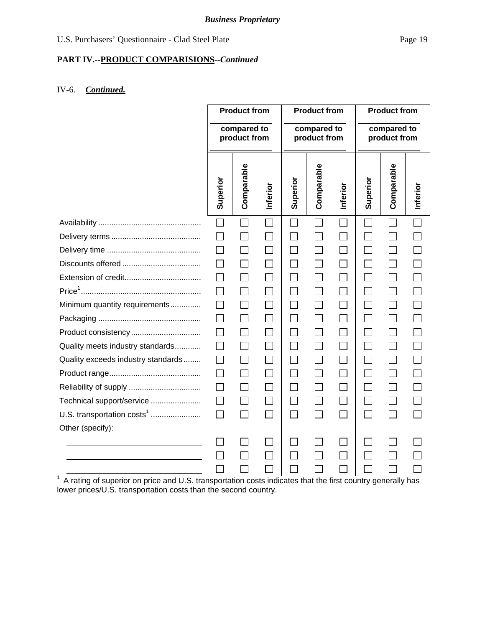## *Business Proprietary*

## **PART IV.--PRODUCT COMPARISIONS***--Continued*

## IV-6. *Continued.*

|                                                                                                                |                             | <b>Product from</b> |                             |                             | <b>Product from</b> |                             |          | <b>Product from</b> |          |
|----------------------------------------------------------------------------------------------------------------|-----------------------------|---------------------|-----------------------------|-----------------------------|---------------------|-----------------------------|----------|---------------------|----------|
|                                                                                                                | compared to<br>product from |                     |                             | compared to<br>product from |                     | compared to<br>product from |          |                     |          |
|                                                                                                                | Superior                    | Comparable          | Inferior                    | Superior                    | Comparable          | Inferior                    | Superior | Comparable          | Inferior |
|                                                                                                                | П                           |                     |                             |                             |                     |                             |          |                     |          |
|                                                                                                                |                             |                     |                             |                             |                     |                             |          |                     |          |
|                                                                                                                |                             | $\mathsf{L}$        |                             | $\mathcal{L}$               |                     |                             |          |                     |          |
|                                                                                                                |                             | $\Box$              | $\mathcal{L}_{\mathcal{A}}$ | $\Box$                      |                     |                             |          |                     |          |
|                                                                                                                | $\mathsf{L}$                | $\Box$              |                             | $\Box$                      |                     |                             |          |                     |          |
|                                                                                                                |                             |                     |                             |                             |                     |                             |          |                     |          |
| Minimum quantity requirements                                                                                  | $\mathsf{L}$                | $\Box$              | $\vert \ \ \vert$           | $\vert \ \ \vert$           |                     |                             |          |                     |          |
|                                                                                                                | $\perp$                     | $\Box$              | $\vert \ \ \vert$           | $\Box$                      | $\Box$              | $\mathsf{L}$                |          |                     |          |
| Product consistency                                                                                            |                             | П                   | $\mathcal{L}_{\mathcal{A}}$ | $\Box$                      |                     |                             |          |                     |          |
| Quality meets industry standards                                                                               | $\mathsf{L}$                | $\Box$              | $\mathsf{L}$                | $\Box$                      |                     |                             |          |                     |          |
| Quality exceeds industry standards                                                                             |                             |                     |                             | $\mathbf{L}$                |                     |                             |          |                     |          |
|                                                                                                                | $\Box$                      | $\Box$              | $\overline{\phantom{0}}$    | П                           |                     |                             |          |                     |          |
|                                                                                                                | $\mathsf{L}$                | $\Box$              | $\mathsf{L}$                | $\overline{\phantom{a}}$    |                     |                             |          |                     |          |
| Technical support/service                                                                                      |                             |                     |                             | $\sim$                      |                     |                             |          |                     |          |
| U.S. transportation costs <sup>1</sup>                                                                         | $\Box$                      | $\Box$              | $\blacksquare$              | $\Box$                      |                     |                             |          |                     |          |
| Other (specify):                                                                                               |                             |                     |                             |                             |                     |                             |          |                     |          |
|                                                                                                                |                             |                     |                             |                             |                     |                             |          |                     |          |
|                                                                                                                |                             |                     |                             |                             |                     |                             |          |                     |          |
|                                                                                                                |                             |                     |                             |                             |                     |                             |          |                     |          |
| $1$ A rating of superior on price and U.S. transportation costs indicates that the first country generally has |                             |                     |                             |                             |                     |                             |          |                     |          |

lower prices/U.S. transportation costs than the second country.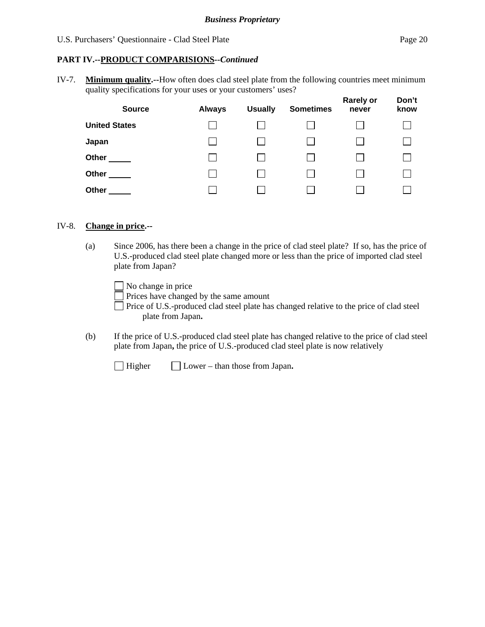#### **PART IV.--PRODUCT COMPARISIONS***--Continued*

IV-7. **Minimum quality.--**How often does clad steel plate from the following countries meet minimum quality specifications for your uses or your customers' uses?

| <b>Source</b>        | <b>Always</b> | <b>Usually</b> | <b>Sometimes</b> | <b>Rarely or</b><br>never | Don't<br>know |
|----------------------|---------------|----------------|------------------|---------------------------|---------------|
| <b>United States</b> |               |                |                  |                           |               |
| Japan                |               |                |                  |                           |               |
| Other                |               |                |                  |                           |               |
| Other                |               |                |                  |                           |               |
| Other                |               |                |                  |                           |               |

#### IV-8. **Change in price.--**

(a) Since 2006, has there been a change in the price of clad steel plate? If so, has the price of U.S.-produced clad steel plate changed more or less than the price of imported clad steel plate from Japan?

No change in price

Prices have changed by the same amount

- Price of U.S.-produced clad steel plate has changed relative to the price of clad steel plate from Japan**.**
- (b) If the price of U.S.-produced clad steel plate has changed relative to the price of clad steel plate from Japan**,** the price of U.S.-produced clad steel plate is now relatively

Higher Lower – than those from Japan**.**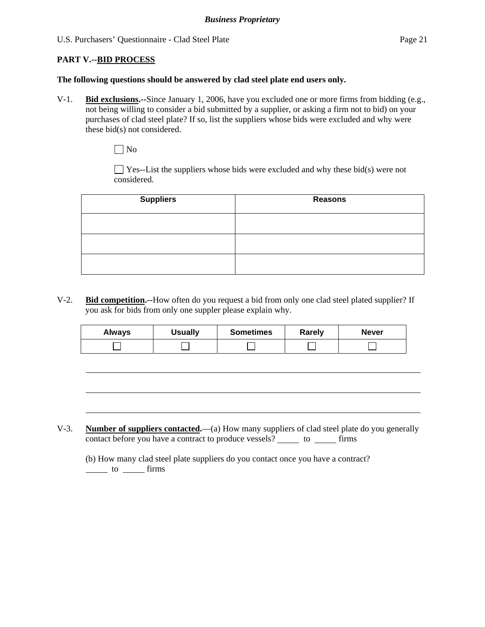#### **PART V.--BID PROCESS**

l

#### **The following questions should be answered by clad steel plate end users only.**

V-1. **Bid exclusions.--**Since January 1, 2006, have you excluded one or more firms from bidding (e.g., not being willing to consider a bid submitted by a supplier, or asking a firm not to bid) on your purchases of clad steel plate? If so, list the suppliers whose bids were excluded and why were these bid(s) not considered.

 $\Box$  No

 $\Box$  Yes--List the suppliers whose bids were excluded and why these bid(s) were not considered.

| <b>Suppliers</b> | <b>Reasons</b> |
|------------------|----------------|
|                  |                |
|                  |                |
|                  |                |

V-2. **Bid competition.--**How often do you request a bid from only one clad steel plated supplier? If you ask for bids from only one suppler please explain why.

| Always | <b>Usually</b> | <b>Sometimes</b> | Rarely | <b>Never</b> |
|--------|----------------|------------------|--------|--------------|
|        |                |                  |        |              |

V-3. **Number of suppliers contacted.**—(a) How many suppliers of clad steel plate do you generally contact before you have a contract to produce vessels? \_\_\_\_\_\_ to \_\_\_\_\_\_ firms

 (b) How many clad steel plate suppliers do you contact once you have a contract?  $\frac{1}{\sqrt{1-\frac{1}{\sqrt{1-\frac{1}{\sqrt{1-\frac{1}{\sqrt{1-\frac{1}{\sqrt{1-\frac{1}{\sqrt{1-\frac{1}{\sqrt{1-\frac{1}{\sqrt{1-\frac{1}{\sqrt{1-\frac{1}{\sqrt{1-\frac{1}{\sqrt{1-\frac{1}{\sqrt{1-\frac{1}{\sqrt{1-\frac{1}{\sqrt{1-\frac{1}{\sqrt{1-\frac{1}{\sqrt{1-\frac{1}{\sqrt{1-\frac{1}{\sqrt{1-\frac{1}{\sqrt{1-\frac{1}{\sqrt{1-\frac{1}{\sqrt{1-\frac{1}{\sqrt{1-\frac{1}{\sqrt{1-\frac{1}{\sqrt{1-\frac{1$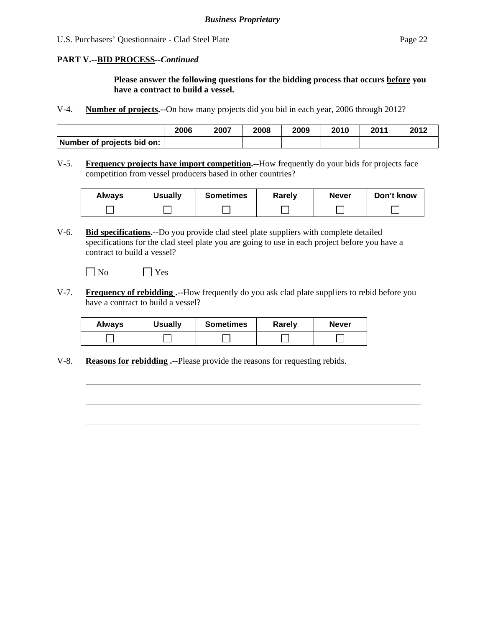# **PART V.--BID PROCESS***--Continued*

**Please answer the following questions for the bidding process that occurs before you have a contract to build a vessel.** 

V-4. **Number of projects.--**On how many projects did you bid in each year, 2006 through 2012?

|                            | 2006 | 2007 | 2008 | 2009 | 2010 | 2011 | 2012 |
|----------------------------|------|------|------|------|------|------|------|
| Number of projects bid on: |      |      |      |      |      |      |      |

V-5. **Frequency projects have import competition.--**How frequently do your bids for projects face competition from vessel producers based in other countries?

| <b>Always</b> | <b>Usually</b> | <b>Sometimes</b> | Rarely | <b>Never</b> | Don't know |
|---------------|----------------|------------------|--------|--------------|------------|
|               |                |                  |        |              |            |

V-6. **Bid specifications.--**Do you provide clad steel plate suppliers with complete detailed specifications for the clad steel plate you are going to use in each project before you have a contract to build a vessel?

 $\neg$  No  $\neg$  Yes

l

V-7. **Frequency of rebidding .--**How frequently do you ask clad plate suppliers to rebid before you have a contract to build a vessel?

| <b>Always</b> | <b>Usually</b> | <b>Sometimes</b> | Rarely | <b>Never</b> |
|---------------|----------------|------------------|--------|--------------|
|               |                |                  |        |              |

V-8. **Reasons for rebidding .--**Please provide the reasons for requesting rebids.